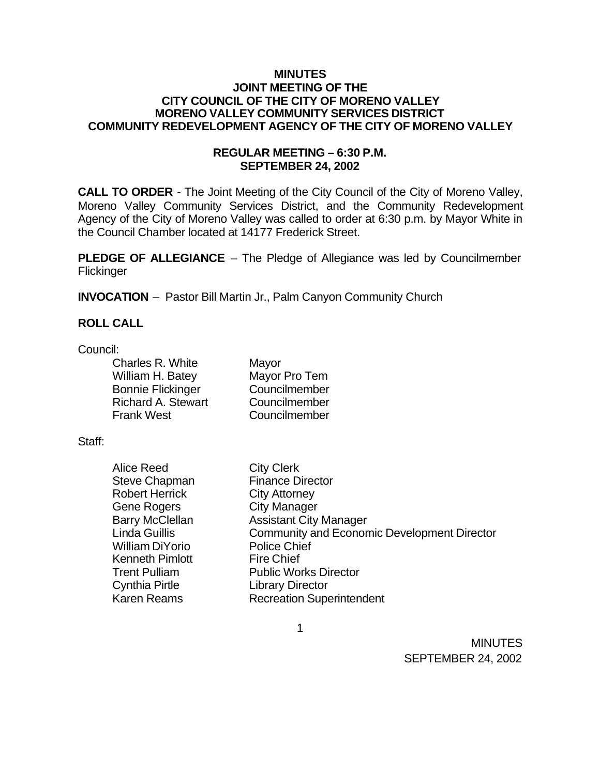### **MINUTES JOINT MEETING OF THE CITY COUNCIL OF THE CITY OF MORENO VALLEY MORENO VALLEY COMMUNITY SERVICES DISTRICT COMMUNITY REDEVELOPMENT AGENCY OF THE CITY OF MORENO VALLEY**

## **REGULAR MEETING – 6:30 P.M. SEPTEMBER 24, 2002**

**CALL TO ORDER** - The Joint Meeting of the City Council of the City of Moreno Valley, Moreno Valley Community Services District, and the Community Redevelopment Agency of the City of Moreno Valley was called to order at 6:30 p.m. by Mayor White in the Council Chamber located at 14177 Frederick Street.

**PLEDGE OF ALLEGIANCE** – The Pledge of Allegiance was led by Councilmember **Flickinger** 

**INVOCATION** – Pastor Bill Martin Jr., Palm Canyon Community Church

### **ROLL CALL**

Council:

| Charles R. White          | Mayor         |
|---------------------------|---------------|
| William H. Batey          | Mayor Pro Tem |
| <b>Bonnie Flickinger</b>  | Councilmember |
| <b>Richard A. Stewart</b> | Councilmember |
| <b>Frank West</b>         | Councilmember |

Staff:

| <b>Alice Reed</b>      | <b>City Clerk</b>                                  |
|------------------------|----------------------------------------------------|
| <b>Steve Chapman</b>   | <b>Finance Director</b>                            |
| <b>Robert Herrick</b>  | <b>City Attorney</b>                               |
| <b>Gene Rogers</b>     | <b>City Manager</b>                                |
| <b>Barry McClellan</b> | <b>Assistant City Manager</b>                      |
| <b>Linda Guillis</b>   | <b>Community and Economic Development Director</b> |
| <b>William DiYorio</b> | <b>Police Chief</b>                                |
| <b>Kenneth Pimlott</b> | <b>Fire Chief</b>                                  |
| <b>Trent Pulliam</b>   | <b>Public Works Director</b>                       |
| <b>Cynthia Pirtle</b>  | <b>Library Director</b>                            |
| <b>Karen Reams</b>     | <b>Recreation Superintendent</b>                   |

1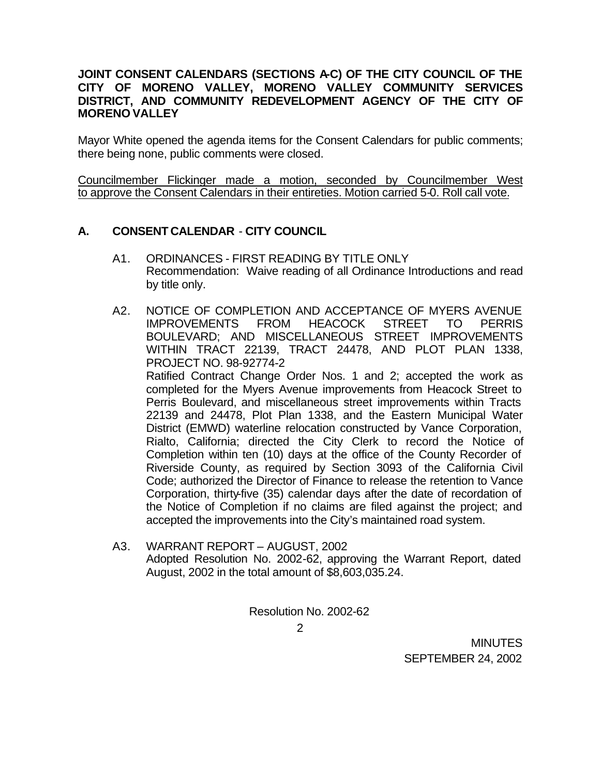## **JOINT CONSENT CALENDARS (SECTIONS A-C) OF THE CITY COUNCIL OF THE CITY OF MORENO VALLEY, MORENO VALLEY COMMUNITY SERVICES DISTRICT, AND COMMUNITY REDEVELOPMENT AGENCY OF THE CITY OF MORENO VALLEY**

Mayor White opened the agenda items for the Consent Calendars for public comments; there being none, public comments were closed.

Councilmember Flickinger made a motion, seconded by Councilmember West to approve the Consent Calendars in their entireties. Motion carried 5-0. Roll call vote.

## **A. CONSENT CALENDAR** - **CITY COUNCIL**

- A1. ORDINANCES FIRST READING BY TITLE ONLY Recommendation: Waive reading of all Ordinance Introductions and read by title only.
- A2. NOTICE OF COMPLETION AND ACCEPTANCE OF MYERS AVENUE IMPROVEMENTS FROM HEACOCK STREET TO PERRIS BOULEVARD; AND MISCELLANEOUS STREET IMPROVEMENTS WITHIN TRACT 22139, TRACT 24478, AND PLOT PLAN 1338, PROJECT NO. 98-92774-2

Ratified Contract Change Order Nos. 1 and 2; accepted the work as completed for the Myers Avenue improvements from Heacock Street to Perris Boulevard, and miscellaneous street improvements within Tracts 22139 and 24478, Plot Plan 1338, and the Eastern Municipal Water District (EMWD) waterline relocation constructed by Vance Corporation, Rialto, California; directed the City Clerk to record the Notice of Completion within ten (10) days at the office of the County Recorder of Riverside County, as required by Section 3093 of the California Civil Code; authorized the Director of Finance to release the retention to Vance Corporation, thirty-five (35) calendar days after the date of recordation of the Notice of Completion if no claims are filed against the project; and accepted the improvements into the City's maintained road system.

A3. WARRANT REPORT – AUGUST, 2002 Adopted Resolution No. 2002-62, approving the Warrant Report, dated August, 2002 in the total amount of \$8,603,035.24.

Resolution No. 2002-62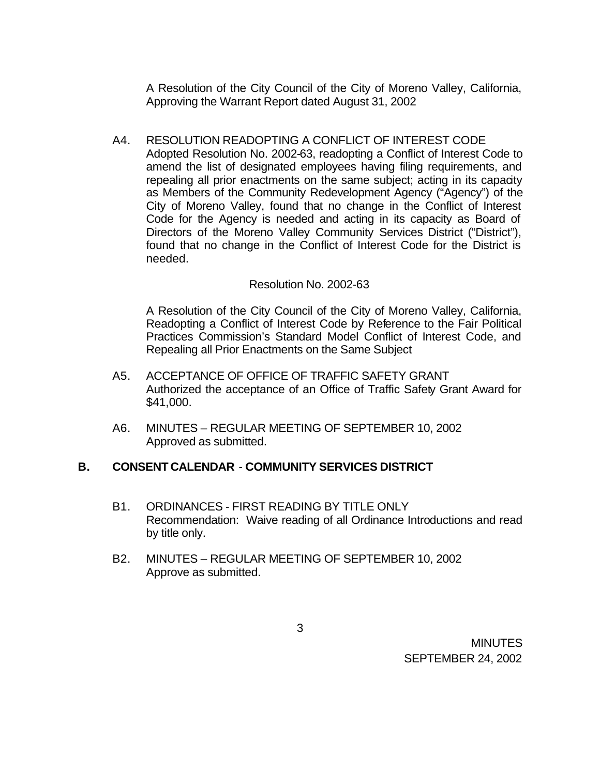A Resolution of the City Council of the City of Moreno Valley, California, Approving the Warrant Report dated August 31, 2002

A4. RESOLUTION READOPTING A CONFLICT OF INTEREST CODE Adopted Resolution No. 2002-63, readopting a Conflict of Interest Code to amend the list of designated employees having filing requirements, and repealing all prior enactments on the same subject; acting in its capacity as Members of the Community Redevelopment Agency ("Agency") of the City of Moreno Valley, found that no change in the Conflict of Interest Code for the Agency is needed and acting in its capacity as Board of Directors of the Moreno Valley Community Services District ("District"), found that no change in the Conflict of Interest Code for the District is needed.

## Resolution No. 2002-63

A Resolution of the City Council of the City of Moreno Valley, California, Readopting a Conflict of Interest Code by Reference to the Fair Political Practices Commission's Standard Model Conflict of Interest Code, and Repealing all Prior Enactments on the Same Subject

- A5. ACCEPTANCE OF OFFICE OF TRAFFIC SAFETY GRANT Authorized the acceptance of an Office of Traffic Safety Grant Award for \$41,000.
- A6. MINUTES REGULAR MEETING OF SEPTEMBER 10, 2002 Approved as submitted.

### **B. CONSENT CALENDAR** - **COMMUNITY SERVICES DISTRICT**

- B1. ORDINANCES FIRST READING BY TITLE ONLY Recommendation: Waive reading of all Ordinance Introductions and read by title only.
- B2. MINUTES REGULAR MEETING OF SEPTEMBER 10, 2002 Approve as submitted.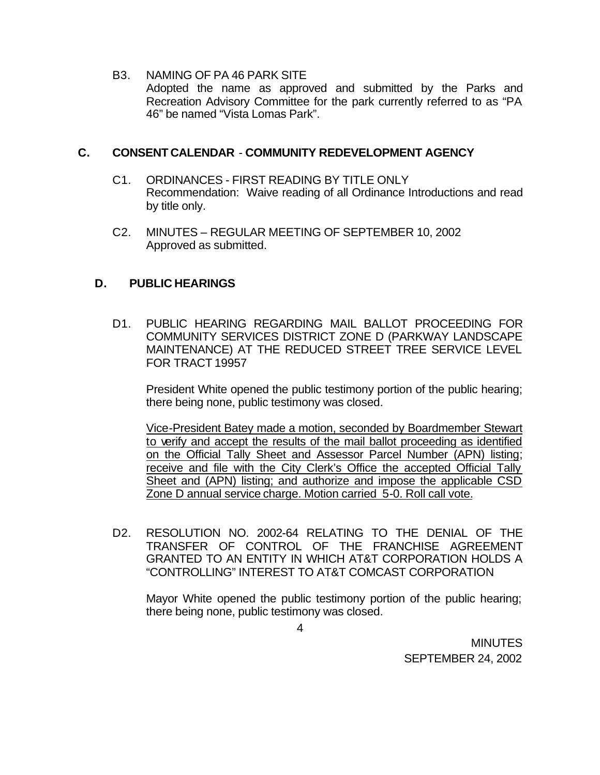B3. NAMING OF PA 46 PARK SITE Adopted the name as approved and submitted by the Parks and Recreation Advisory Committee for the park currently referred to as "PA 46" be named "Vista Lomas Park".

## **C. CONSENT CALENDAR** - **COMMUNITY REDEVELOPMENT AGENCY**

- C1. ORDINANCES FIRST READING BY TITLE ONLY Recommendation: Waive reading of all Ordinance Introductions and read by title only.
- C2. MINUTES REGULAR MEETING OF SEPTEMBER 10, 2002 Approved as submitted.

## **D. PUBLIC HEARINGS**

D1. PUBLIC HEARING REGARDING MAIL BALLOT PROCEEDING FOR COMMUNITY SERVICES DISTRICT ZONE D (PARKWAY LANDSCAPE MAINTENANCE) AT THE REDUCED STREET TREE SERVICE LEVEL FOR TRACT 19957

President White opened the public testimony portion of the public hearing; there being none, public testimony was closed.

Vice-President Batey made a motion, seconded by Boardmember Stewart to verify and accept the results of the mail ballot proceeding as identified on the Official Tally Sheet and Assessor Parcel Number (APN) listing; receive and file with the City Clerk's Office the accepted Official Tally Sheet and (APN) listing; and authorize and impose the applicable CSD Zone D annual service charge. Motion carried 5-0. Roll call vote.

D2. RESOLUTION NO. 2002-64 RELATING TO THE DENIAL OF THE TRANSFER OF CONTROL OF THE FRANCHISE AGREEMENT GRANTED TO AN ENTITY IN WHICH AT&T CORPORATION HOLDS A "CONTROLLING" INTEREST TO AT&T COMCAST CORPORATION

Mayor White opened the public testimony portion of the public hearing; there being none, public testimony was closed.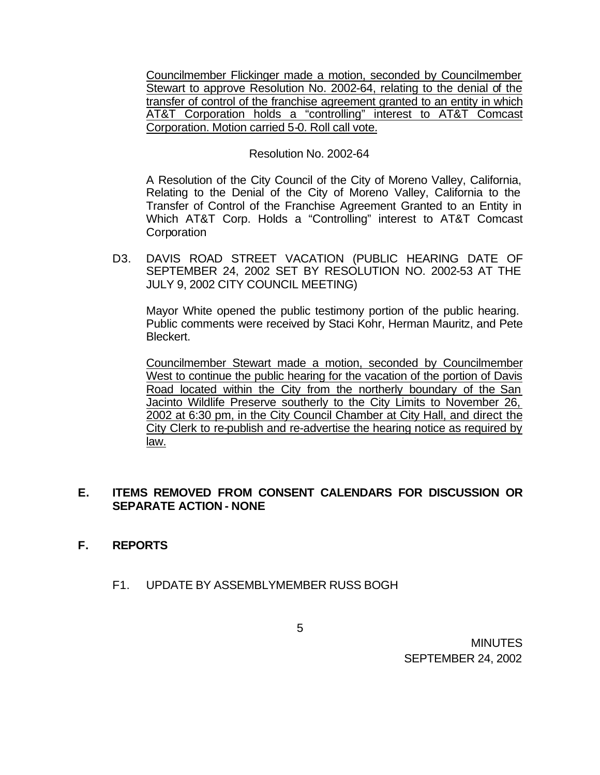Councilmember Flickinger made a motion, seconded by Councilmember Stewart to approve Resolution No. 2002-64, relating to the denial of the transfer of control of the franchise agreement granted to an entity in which AT&T Corporation holds a "controlling" interest to AT&T Comcast Corporation. Motion carried 5-0. Roll call vote.

### Resolution No. 2002-64

A Resolution of the City Council of the City of Moreno Valley, California, Relating to the Denial of the City of Moreno Valley, California to the Transfer of Control of the Franchise Agreement Granted to an Entity in Which AT&T Corp. Holds a "Controlling" interest to AT&T Comcast **Corporation** 

D3. DAVIS ROAD STREET VACATION (PUBLIC HEARING DATE OF SEPTEMBER 24, 2002 SET BY RESOLUTION NO. 2002-53 AT THE JULY 9, 2002 CITY COUNCIL MEETING)

Mayor White opened the public testimony portion of the public hearing. Public comments were received by Staci Kohr, Herman Mauritz, and Pete Bleckert.

Councilmember Stewart made a motion, seconded by Councilmember West to continue the public hearing for the vacation of the portion of Davis Road located within the City from the northerly boundary of the San Jacinto Wildlife Preserve southerly to the City Limits to November 26, 2002 at 6:30 pm, in the City Council Chamber at City Hall, and direct the City Clerk to re-publish and re-advertise the hearing notice as required by law.

## **E. ITEMS REMOVED FROM CONSENT CALENDARS FOR DISCUSSION OR SEPARATE ACTION - NONE**

## **F. REPORTS**

F1. UPDATE BY ASSEMBLYMEMBER RUSS BOGH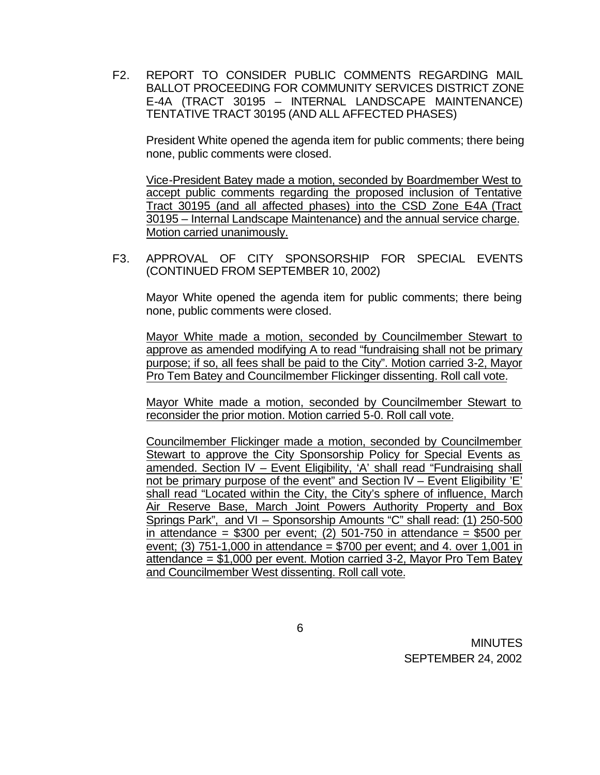F2. REPORT TO CONSIDER PUBLIC COMMENTS REGARDING MAIL BALLOT PROCEEDING FOR COMMUNITY SERVICES DISTRICT ZONE E-4A (TRACT 30195 – INTERNAL LANDSCAPE MAINTENANCE) TENTATIVE TRACT 30195 (AND ALL AFFECTED PHASES)

President White opened the agenda item for public comments; there being none, public comments were closed.

Vice-President Batey made a motion, seconded by Boardmember West to accept public comments regarding the proposed inclusion of Tentative Tract 30195 (and all affected phases) into the CSD Zone E-4A (Tract 30195 – Internal Landscape Maintenance) and the annual service charge. Motion carried unanimously.

F3. APPROVAL OF CITY SPONSORSHIP FOR SPECIAL EVENTS (CONTINUED FROM SEPTEMBER 10, 2002)

Mayor White opened the agenda item for public comments; there being none, public comments were closed.

Mayor White made a motion, seconded by Councilmember Stewart to approve as amended modifying A to read "fundraising shall not be primary purpose; if so, all fees shall be paid to the City". Motion carried 3-2, Mayor Pro Tem Batey and Councilmember Flickinger dissenting. Roll call vote.

Mayor White made a motion, seconded by Councilmember Stewart to reconsider the prior motion. Motion carried 5-0. Roll call vote.

Councilmember Flickinger made a motion, seconded by Councilmember Stewart to approve the City Sponsorship Policy for Special Events as amended. Section lV – Event Eligibility, 'A' shall read "Fundraising shall not be primary purpose of the event" and Section lV – Event Eligibility 'E' shall read "Located within the City, the City's sphere of influence, March Air Reserve Base, March Joint Powers Authority Property and Box Springs Park", and VI – Sponsorship Amounts "C" shall read: (1) 250-500 in attendance =  $$300$  per event; (2) 501-750 in attendance =  $$500$  per event; (3)  $751-1,000$  in attendance = \$700 per event; and 4. over 1,001 in attendance = \$1,000 per event. Motion carried 3-2, Mayor Pro Tem Batey and Councilmember West dissenting. Roll call vote.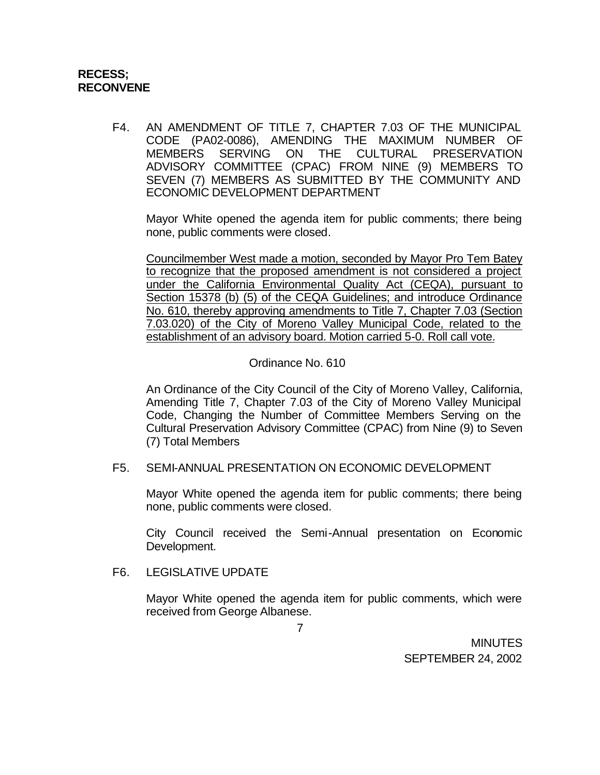## **RECESS; RECONVENE**

F4. AN AMENDMENT OF TITLE 7, CHAPTER 7.03 OF THE MUNICIPAL CODE (PA02-0086), AMENDING THE MAXIMUM NUMBER OF MEMBERS SERVING ON THE CULTURAL PRESERVATION ADVISORY COMMITTEE (CPAC) FROM NINE (9) MEMBERS TO SEVEN (7) MEMBERS AS SUBMITTED BY THE COMMUNITY AND ECONOMIC DEVELOPMENT DEPARTMENT

Mayor White opened the agenda item for public comments; there being none, public comments were closed.

Councilmember West made a motion, seconded by Mayor Pro Tem Batey to recognize that the proposed amendment is not considered a project under the California Environmental Quality Act (CEQA), pursuant to Section 15378 (b) (5) of the CEQA Guidelines; and introduce Ordinance No. 610, thereby approving amendments to Title 7, Chapter 7.03 (Section 7.03.020) of the City of Moreno Valley Municipal Code, related to the establishment of an advisory board. Motion carried 5-0. Roll call vote.

## Ordinance No. 610

An Ordinance of the City Council of the City of Moreno Valley, California, Amending Title 7, Chapter 7.03 of the City of Moreno Valley Municipal Code, Changing the Number of Committee Members Serving on the Cultural Preservation Advisory Committee (CPAC) from Nine (9) to Seven (7) Total Members

### F5. SEMI-ANNUAL PRESENTATION ON ECONOMIC DEVELOPMENT

Mayor White opened the agenda item for public comments; there being none, public comments were closed.

City Council received the Semi-Annual presentation on Economic Development.

## F6. LEGISLATIVE UPDATE

Mayor White opened the agenda item for public comments, which were received from George Albanese.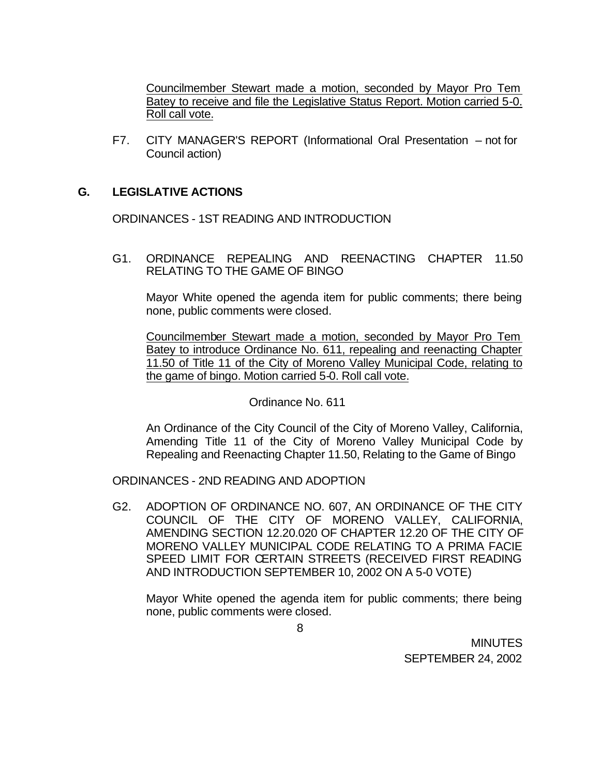Councilmember Stewart made a motion, seconded by Mayor Pro Tem Batey to receive and file the Legislative Status Report. Motion carried 5-0. Roll call vote.

F7. CITY MANAGER'S REPORT (Informational Oral Presentation – not for Council action)

## **G. LEGISLATIVE ACTIONS**

ORDINANCES - 1ST READING AND INTRODUCTION

G1. ORDINANCE REPEALING AND REENACTING CHAPTER 11.50 RELATING TO THE GAME OF BINGO

Mayor White opened the agenda item for public comments; there being none, public comments were closed.

Councilmember Stewart made a motion, seconded by Mayor Pro Tem Batey to introduce Ordinance No. 611, repealing and reenacting Chapter 11.50 of Title 11 of the City of Moreno Valley Municipal Code, relating to the game of bingo. Motion carried 5-0. Roll call vote.

#### Ordinance No. 611

An Ordinance of the City Council of the City of Moreno Valley, California, Amending Title 11 of the City of Moreno Valley Municipal Code by Repealing and Reenacting Chapter 11.50, Relating to the Game of Bingo

ORDINANCES - 2ND READING AND ADOPTION

G2. ADOPTION OF ORDINANCE NO. 607, AN ORDINANCE OF THE CITY COUNCIL OF THE CITY OF MORENO VALLEY, CALIFORNIA, AMENDING SECTION 12.20.020 OF CHAPTER 12.20 OF THE CITY OF MORENO VALLEY MUNICIPAL CODE RELATING TO A PRIMA FACIE SPEED LIMIT FOR CERTAIN STREETS (RECEIVED FIRST READING AND INTRODUCTION SEPTEMBER 10, 2002 ON A 5-0 VOTE)

Mayor White opened the agenda item for public comments; there being none, public comments were closed.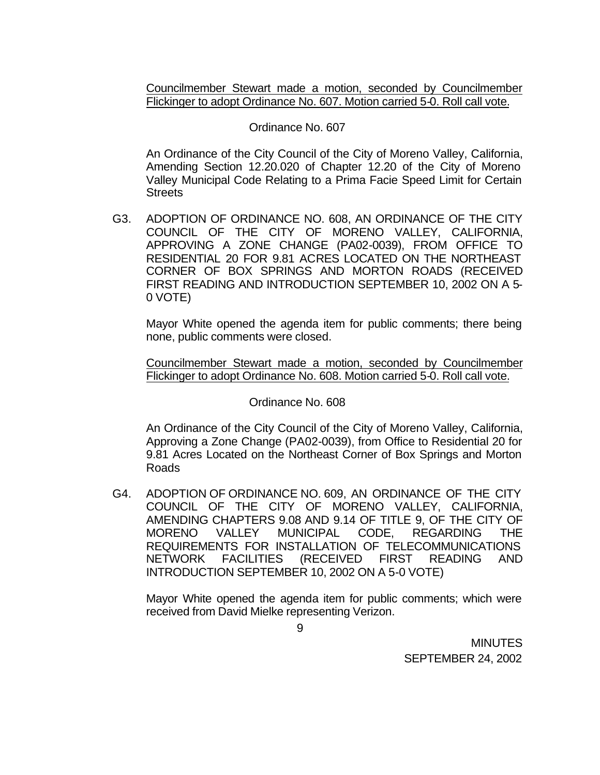Councilmember Stewart made a motion, seconded by Councilmember Flickinger to adopt Ordinance No. 607. Motion carried 5-0. Roll call vote.

### Ordinance No. 607

An Ordinance of the City Council of the City of Moreno Valley, California, Amending Section 12.20.020 of Chapter 12.20 of the City of Moreno Valley Municipal Code Relating to a Prima Facie Speed Limit for Certain **Streets** 

G3. ADOPTION OF ORDINANCE NO. 608, AN ORDINANCE OF THE CITY COUNCIL OF THE CITY OF MORENO VALLEY, CALIFORNIA, APPROVING A ZONE CHANGE (PA02-0039), FROM OFFICE TO RESIDENTIAL 20 FOR 9.81 ACRES LOCATED ON THE NORTHEAST CORNER OF BOX SPRINGS AND MORTON ROADS (RECEIVED FIRST READING AND INTRODUCTION SEPTEMBER 10, 2002 ON A 5- 0 VOTE)

Mayor White opened the agenda item for public comments; there being none, public comments were closed.

Councilmember Stewart made a motion, seconded by Councilmember Flickinger to adopt Ordinance No. 608. Motion carried 5-0. Roll call vote.

### Ordinance No. 608

An Ordinance of the City Council of the City of Moreno Valley, California, Approving a Zone Change (PA02-0039), from Office to Residential 20 for 9.81 Acres Located on the Northeast Corner of Box Springs and Morton Roads

G4. ADOPTION OF ORDINANCE NO. 609, AN ORDINANCE OF THE CITY COUNCIL OF THE CITY OF MORENO VALLEY, CALIFORNIA, AMENDING CHAPTERS 9.08 AND 9.14 OF TITLE 9, OF THE CITY OF MORENO VALLEY MUNICIPAL CODE, REGARDING THE REQUIREMENTS FOR INSTALLATION OF TELECOMMUNICATIONS NETWORK FACILITIES (RECEIVED FIRST READING AND INTRODUCTION SEPTEMBER 10, 2002 ON A 5-0 VOTE)

Mayor White opened the agenda item for public comments; which were received from David Mielke representing Verizon.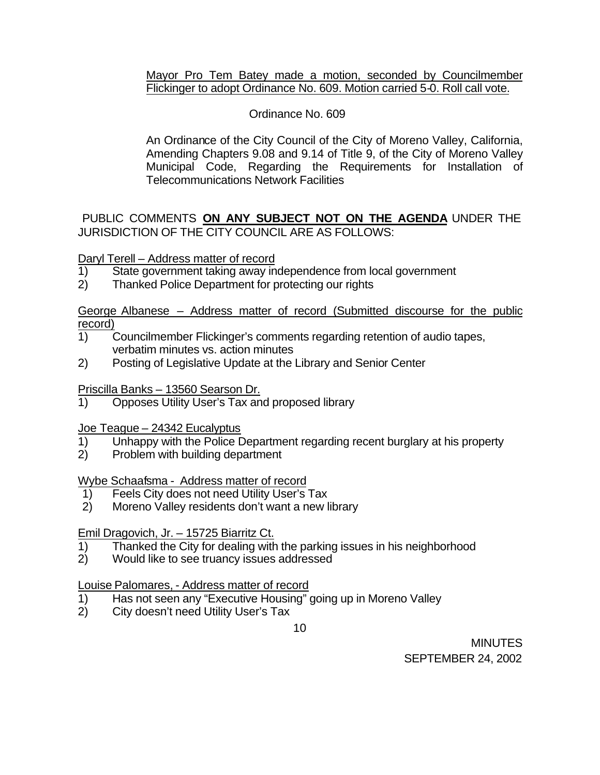## Mayor Pro Tem Batey made a motion, seconded by Councilmember Flickinger to adopt Ordinance No. 609. Motion carried 5-0. Roll call vote.

## Ordinance No. 609

An Ordinance of the City Council of the City of Moreno Valley, California, Amending Chapters 9.08 and 9.14 of Title 9, of the City of Moreno Valley Municipal Code, Regarding the Requirements for Installation of Telecommunications Network Facilities

PUBLIC COMMENTS **ON ANY SUBJECT NOT ON THE AGENDA** UNDER THE JURISDICTION OF THE CITY COUNCIL ARE AS FOLLOWS:

## Daryl Terell – Address matter of record

- 1) State government taking away independence from local government
- 2) Thanked Police Department for protecting our rights

George Albanese – Address matter of record (Submitted discourse for the public record)

- 1) Councilmember Flickinger's comments regarding retention of audio tapes, verbatim minutes vs. action minutes
- 2) Posting of Legislative Update at the Library and Senior Center

## Priscilla Banks – 13560 Searson Dr.

1) Opposes Utility User's Tax and proposed library

## Joe Teague – 24342 Eucalyptus

- 1) Unhappy with the Police Department regarding recent burglary at his property
- 2) Problem with building department

## Wybe Schaafsma - Address matter of record

- 1) Feels City does not need Utility User's Tax
- 2) Moreno Valley residents don't want a new library

# Emil Dragovich, Jr. – 15725 Biarritz Ct.

- 1) Thanked the City for dealing with the parking issues in his neighborhood
- 2) Would like to see truancy issues addressed

# Louise Palomares, - Address matter of record

- 1) Has not seen any "Executive Housing" going up in Moreno Valley
- 2) City doesn't need Utility User's Tax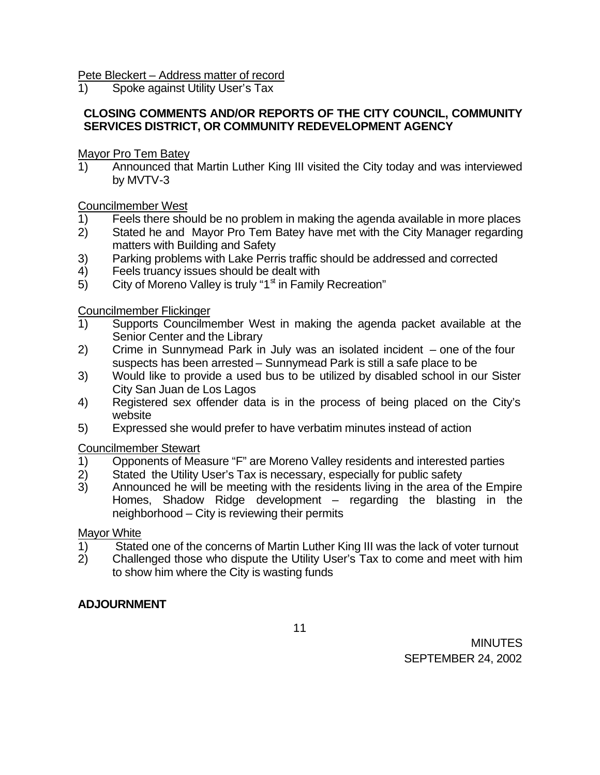Pete Bleckert – Address matter of record

1) Spoke against Utility User's Tax

# **CLOSING COMMENTS AND/OR REPORTS OF THE CITY COUNCIL, COMMUNITY SERVICES DISTRICT, OR COMMUNITY REDEVELOPMENT AGENCY**

Mayor Pro Tem Batey

1) Announced that Martin Luther King III visited the City today and was interviewed by MVTV-3

Councilmember West

- 1) Feels there should be no problem in making the agenda available in more places
- 2) Stated he and Mayor Pro Tem Batey have met with the City Manager regarding matters with Building and Safety
- 3) Parking problems with Lake Perris traffic should be addressed and corrected
- 4) Feels truancy issues should be dealt with
- 5) City of Moreno Valley is truly " $1<sup>st</sup>$  in Family Recreation"

Councilmember Flickinger

- 1) Supports Councilmember West in making the agenda packet available at the Senior Center and the Library
- 2) Crime in Sunnymead Park in July was an isolated incident one of the four suspects has been arrested – Sunnymead Park is still a safe place to be
- 3) Would like to provide a used bus to be utilized by disabled school in our Sister City San Juan de Los Lagos
- 4) Registered sex offender data is in the process of being placed on the City's website
- 5) Expressed she would prefer to have verbatim minutes instead of action

Councilmember Stewart

- 1) Opponents of Measure "F" are Moreno Valley residents and interested parties
- 2) Stated the Utility User's Tax is necessary, especially for public safety<br>3) Announced he will be meeting with the residents living in the area of
- 3) Announced he will be meeting with the residents living in the area of the Empire Homes, Shadow Ridge development – regarding the blasting in the neighborhood – City is reviewing their permits

# Mayor White

- 1) Stated one of the concerns of Martin Luther King III was the lack of voter turnout 2) Challenged those who dispute the Utility User's Tax to come and meet with him
- 2) Challenged those who dispute the Utility User's Tax to come and meet with him to show him where the City is wasting funds

# **ADJOURNMENT**